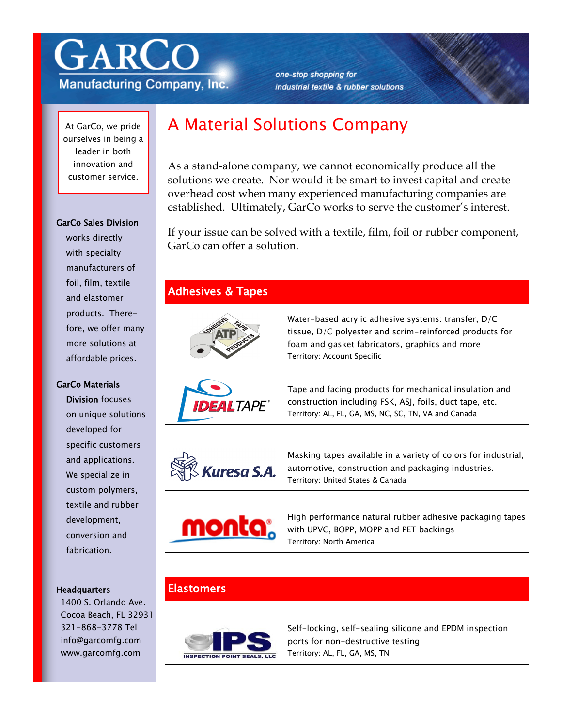

**Manufacturing Company, Inc.** 

one-stop shopping for industrial textile & rubber solutions

At GarCo, we pride ourselves in being a leader in both innovation and customer service.

#### GarCo Sales Division

works directly with specialty manufacturers of foil, film, textile and elastomer products. Therefore, we offer many more solutions at affordable prices.

#### GarCo Materials

Division focuses on unique solutions developed for specific customers and applications. We specialize in custom polymers, textile and rubber development, conversion and fabrication.

#### **Headquarters**

1400 S. Orlando Ave. Cocoa Beach, FL 32931 321-868-3778 Tel info@garcomfg.com www.garcomfg.com

# A Material Solutions Company

As a stand-alone company, we cannot economically produce all the solutions we create. Nor would it be smart to invest capital and create overhead cost when many experienced manufacturing companies are established. Ultimately, GarCo works to serve the customer's interest.

If your issue can be solved with a textile, film, foil or rubber component, GarCo can offer a solution.

#### Adhesives & Tapes



Water-based acrylic adhesive systems: transfer, D/C tissue, D/C polyester and scrim-reinforced products for foam and gasket fabricators, graphics and more Territory: Account Specific



Tape and facing products for mechanical insulation and construction including FSK, ASJ, foils, duct tape, etc. Territory: AL, FL, GA, MS, NC, SC, TN, VA and Canada



Masking tapes available in a variety of colors for industrial, automotive, construction and packaging industries. Territory: United States & Canada



High performance natural rubber adhesive packaging tapes with UPVC, BOPP, MOPP and PET backings Territory: North America

### **Elastomers**



Self-locking, self-sealing silicone and EPDM inspection ports for non-destructive testing Territory: AL, FL, GA, MS, TN